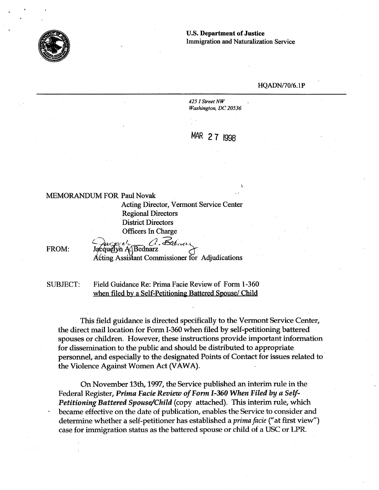

### **U.S. Department of Justice Immigration and Naturalization Service**

**k** 

#### **HQADN/70/6.1 P**

*425* **1** *Street NW Washington, DC 20536* 

MAR 27 1998

### MEMORANDUM FOR Paul Novak

Acting Director, Vermont Service Center Regional Directors District Directors Officers In Charge<br>FROM: *Jacquelyn A* Bednarz *Februar* 

Acting Assistant Commissioner for Adjudications

SUBJECT: Field Guidance Re: Prima Facie Review of Form 1-360 when filed by a Self-Petitioning Battered Spouse/ Child

This field guidance is directed specifically to the Vermont Service Center, the direct mail location for Form I-360 when filed by self-petitioning battered spouses or children. However, these instructions provide important information for dissemination to the public and should be distributed to appropriate personnel, and especially to the designated Points of Contact for issues related to the Violence Against Women Act (VAWA).

On November **13th, 1997,** the Service published an interim rule in the Federal Register, *Prima Facie Review of Form I-360 When Filed by a Self-Petitioning Battered Spouse/Child* (copy attached). This interim rule, which became effective on the date of publication, enables the Service to consider and determine whether a self-petitioner has established a *prima* **facie** ("at first view") case for immigration status as the battered spouse or child of a USC or LPR.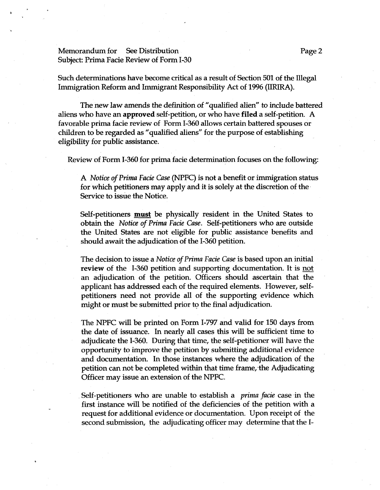# Memorandum for See Distribution **Page 2** 2 Subject: Prima Facie Review of Form I-30

Such determinations have become critical as a result of Section 501 of the Illegal Immigration Reform and Immigrant Responsibility Act of 1996 (IIRIRA).

The new law amends the definition of "qualified alien" to include battered aliens who have an approved self-petition, or who have filed a self-petition. A favorable prima facie review of Form 1-360 allows certain battered spouses or children to be regarded as "qualified aliens" for the purpose of establishing eligibility for public assistance.

Review of Form 1-360 for prima facie determination focuses on the following:

A *Notice of Prima Facie Case* (NPFC) is not a benefit or immigration status for which petitioners may apply and it is solely at the discretion of the Service to issue the Notice.

Self-petitioners **must** be physically resident in the United States to obtain the *Notice* of *Prima Facie Case.* Self-petitioners who are outside the United States are not eligible for public assistance benefits and should await the adjudication of the I-360 petition.

The decision to issue a *Notice of Prima Facie Case* is based upon an initial review of the I-360 petition and supporting documentation. It is not an adjudication of the petition. Officers should ascertain that the applicant has addressed each of the required elements. However, selfpetitioners need not provide all of the supporting evidence which might or must be submitted prior to the final adjudication.

The NPFC will be printed on Form 1-797 and valid for 150 days from the date of issuance. In nearly all cases this will be sufficient time to adjudicate the 1-360. During that time, the self-petitioner will have the opportunity to improve the petition by submitting additional evidence and documentation. In those instances where the adjudication of the petition can not be completed within that time frame, the Adjudicating Officer may issue an extension of the NPFC.

Self-petitioners who are unable to establish a *prima facie* case in the first instance will be notified of **the** deficiencies of the petition with a request for additional evidence or documentation. Upon receipt of the second submission, the adjudicating officer may determine that the **I-**